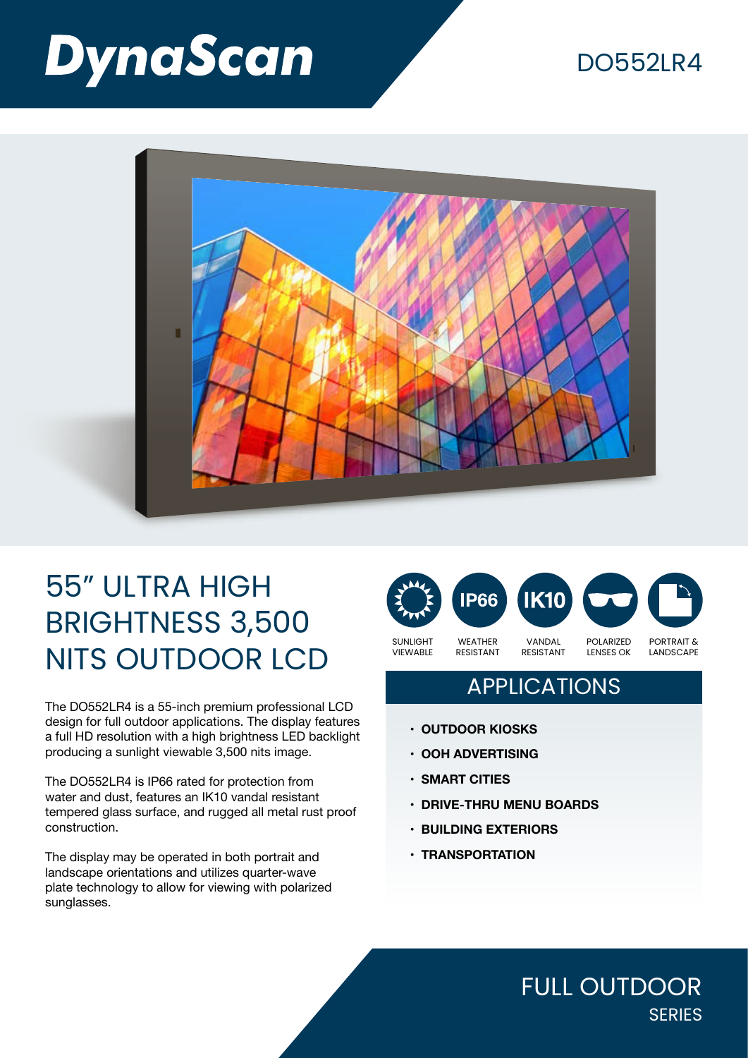# **DynaScan**

### DO552LR4



## 55" ULTRA HIGH BRIGHTNESS 3,500 NITS OUTDOOR LCD

The DO552LR4 is a 55-inch premium professional LCD design for full outdoor applications. The display features a full HD resolution with a high brightness LED backlight producing a sunlight viewable 3,500 nits image.

The DO552LR4 is IP66 rated for protection from water and dust, features an IK10 vandal resistant tempered glass surface, and rugged all metal rust proof construction.

The display may be operated in both portrait and landscape orientations and utilizes quarter-wave plate technology to allow for viewing with polarized sunglasses.



### **APPLICATIONS**

- **• OUTDOOR KIOSKS**
- **• OOH ADVERTISING**
- **• SMART CITIES**
- **• DRIVE-THRU MENU BOARDS**
- **• BUILDING EXTERIORS**
- **• TRANSPORTATION**

FULL OUTDOOR **SERIES**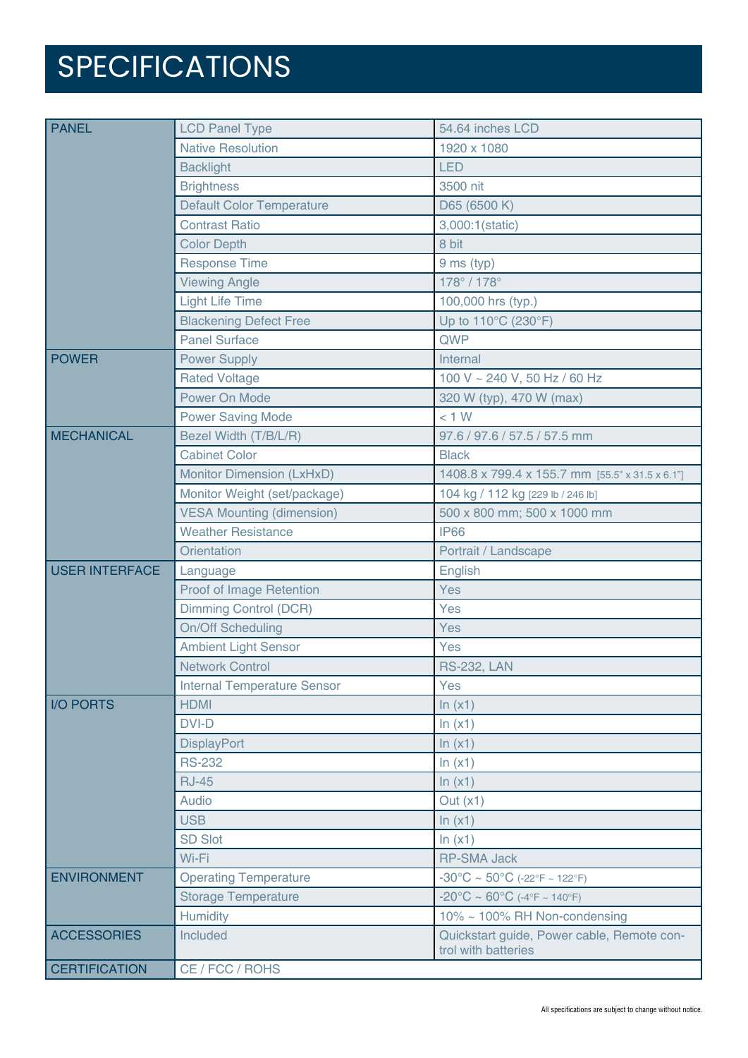# SPECIFICATIONS

| <b>PANEL</b>          | <b>LCD Panel Type</b>              | 54.64 inches LCD                                                  |
|-----------------------|------------------------------------|-------------------------------------------------------------------|
|                       | <b>Native Resolution</b>           | 1920 x 1080                                                       |
|                       | <b>Backlight</b>                   | <b>LED</b>                                                        |
|                       | <b>Brightness</b>                  | 3500 nit                                                          |
|                       | <b>Default Color Temperature</b>   | D65 (6500 K)                                                      |
|                       | <b>Contrast Ratio</b>              | 3,000:1(static)                                                   |
|                       | <b>Color Depth</b>                 | 8 bit                                                             |
|                       | <b>Response Time</b>               | 9 ms (typ)                                                        |
|                       | <b>Viewing Angle</b>               | 178° / 178°                                                       |
|                       | <b>Light Life Time</b>             | 100,000 hrs (typ.)                                                |
|                       | <b>Blackening Defect Free</b>      | Up to 110°C (230°F)                                               |
|                       | <b>Panel Surface</b>               | QWP                                                               |
| <b>POWER</b>          | <b>Power Supply</b>                | Internal                                                          |
|                       | <b>Rated Voltage</b>               | 100 V ~ 240 V, 50 Hz / 60 Hz                                      |
|                       | Power On Mode                      | 320 W (typ), 470 W (max)                                          |
|                       | <b>Power Saving Mode</b>           | < 1 W                                                             |
| <b>MECHANICAL</b>     | Bezel Width (T/B/L/R)              | 97.6 / 97.6 / 57.5 / 57.5 mm                                      |
|                       | <b>Cabinet Color</b>               | <b>Black</b>                                                      |
|                       | Monitor Dimension (LxHxD)          | 1408.8 x 799.4 x 155.7 mm [55.5" x 31.5 x 6.1"]                   |
|                       | Monitor Weight (set/package)       | 104 kg / 112 kg [229 lb / 246 lb]                                 |
|                       | <b>VESA Mounting (dimension)</b>   | 500 x 800 mm; 500 x 1000 mm                                       |
|                       | <b>Weather Resistance</b>          | <b>IP66</b>                                                       |
|                       | <b>Orientation</b>                 | Portrait / Landscape                                              |
| <b>USER INTERFACE</b> | Language                           | English                                                           |
|                       | Proof of Image Retention           | Yes                                                               |
|                       | <b>Dimming Control (DCR)</b>       | Yes                                                               |
|                       | <b>On/Off Scheduling</b>           | Yes                                                               |
|                       | <b>Ambient Light Sensor</b>        | Yes                                                               |
|                       | <b>Network Control</b>             | <b>RS-232, LAN</b>                                                |
|                       | <b>Internal Temperature Sensor</b> | Yes                                                               |
| <b>I/O PORTS</b>      | <b>HDMI</b>                        | ln(x1)                                                            |
|                       | <b>DVI-D</b>                       | In (x1)                                                           |
|                       | <b>DisplayPort</b>                 | In $(x1)$                                                         |
|                       | <b>RS-232</b>                      | ln(x1)                                                            |
|                       | <b>RJ-45</b>                       | ln(x1)                                                            |
|                       | Audio                              | Out $(x1)$                                                        |
|                       | <b>USB</b>                         | ln(x1)                                                            |
|                       | <b>SD Slot</b>                     | ln(x1)                                                            |
|                       | Wi-Fi                              | <b>RP-SMA Jack</b>                                                |
| <b>ENVIRONMENT</b>    | <b>Operating Temperature</b>       | $-30^{\circ}$ C ~ 50°C (-22°F ~ 122°F)                            |
|                       | <b>Storage Temperature</b>         | $-20^{\circ}$ C ~ 60°C (-4°F ~ 140°F)                             |
|                       | Humidity                           | 10% ~ 100% RH Non-condensing                                      |
| <b>ACCESSORIES</b>    | Included                           | Quickstart guide, Power cable, Remote con-<br>trol with batteries |
| <b>CERTIFICATION</b>  | CE / FCC / ROHS                    |                                                                   |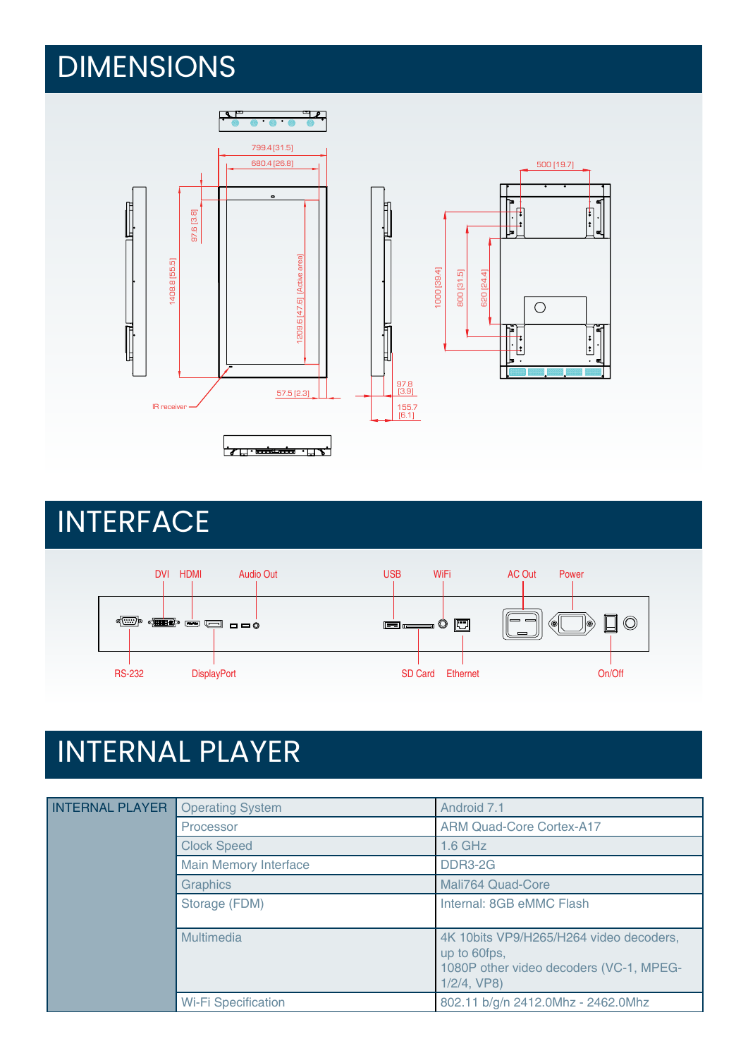## DIMENSIONS



## **INTERFACE**



# INTERNAL PLAYER

| <b>INTERNAL PLAYER</b> | <b>Operating System</b>      | Android 7.1                                                                                                          |
|------------------------|------------------------------|----------------------------------------------------------------------------------------------------------------------|
|                        | Processor                    | <b>ARM Quad-Core Cortex-A17</b>                                                                                      |
|                        | <b>Clock Speed</b>           | $1.6$ GHz                                                                                                            |
|                        | <b>Main Memory Interface</b> | <b>DDR3-2G</b>                                                                                                       |
|                        | <b>Graphics</b>              | Mali764 Quad-Core                                                                                                    |
|                        | Storage (FDM)                | Internal: 8GB eMMC Flash                                                                                             |
|                        | Multimedia                   | 4K 10bits VP9/H265/H264 video decoders,<br>up to 60fps,<br>1080P other video decoders (VC-1, MPEG-<br>$1/2/4$ , VP8) |
|                        | <b>Wi-Fi Specification</b>   | 802.11 b/g/n 2412.0Mhz - 2462.0Mhz                                                                                   |